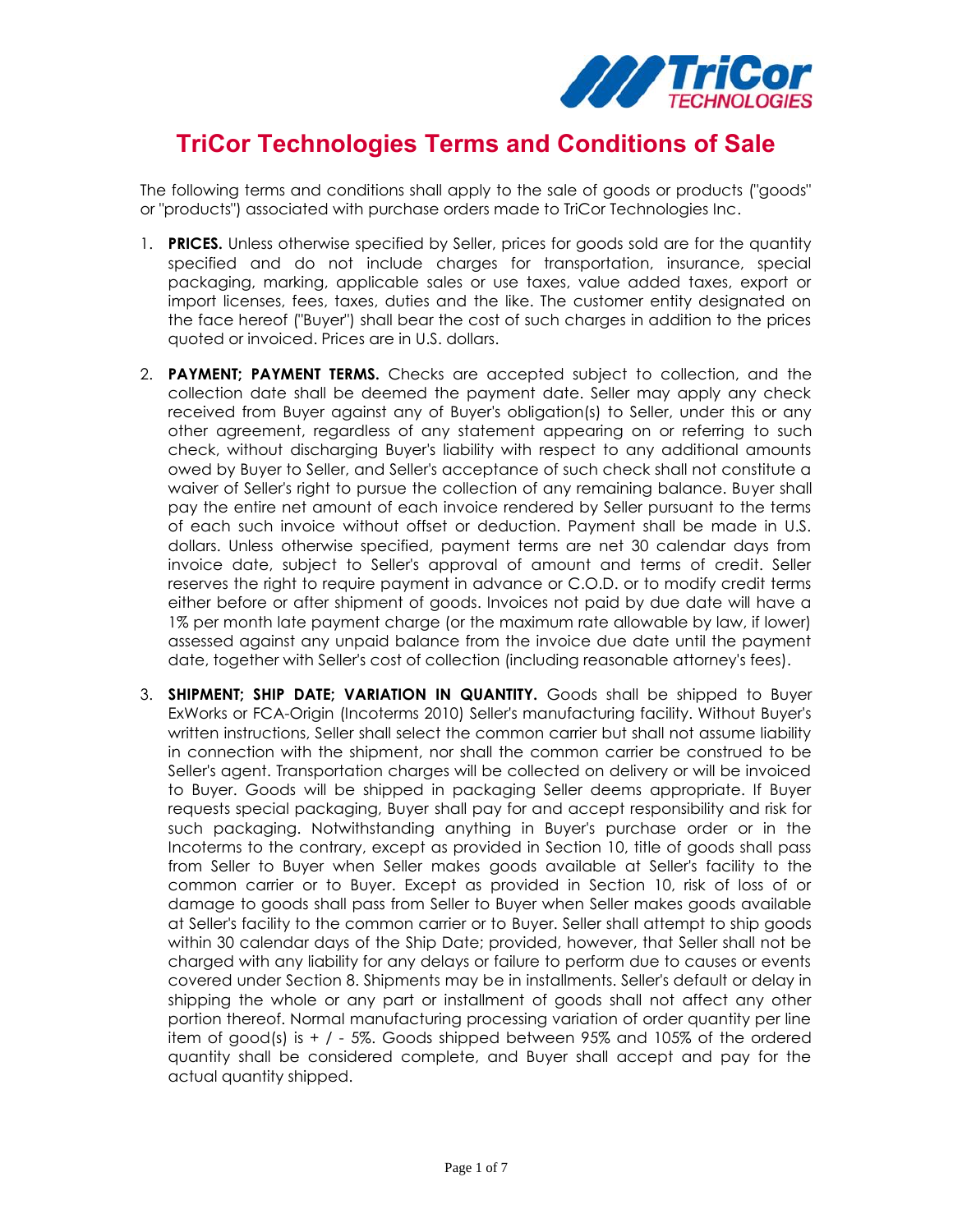

## **TriCor Technologies Terms and Conditions of Sale**

The following terms and conditions shall apply to the sale of goods or products ("goods" or "products") associated with purchase orders made to TriCor Technologies Inc.

- 1. **PRICES.** Unless otherwise specified by Seller, prices for goods sold are for the quantity specified and do not include charges for transportation, insurance, special packaging, marking, applicable sales or use taxes, value added taxes, export or import licenses, fees, taxes, duties and the like. The customer entity designated on the face hereof ("Buyer") shall bear the cost of such charges in addition to the prices quoted or invoiced. Prices are in U.S. dollars.
- 2. **PAYMENT; PAYMENT TERMS.** Checks are accepted subject to collection, and the collection date shall be deemed the payment date. Seller may apply any check received from Buyer against any of Buyer's obligation(s) to Seller, under this or any other agreement, regardless of any statement appearing on or referring to such check, without discharging Buyer's liability with respect to any additional amounts owed by Buyer to Seller, and Seller's acceptance of such check shall not constitute a waiver of Seller's right to pursue the collection of any remaining balance. Buyer shall pay the entire net amount of each invoice rendered by Seller pursuant to the terms of each such invoice without offset or deduction. Payment shall be made in U.S. dollars. Unless otherwise specified, payment terms are net 30 calendar days from invoice date, subject to Seller's approval of amount and terms of credit. Seller reserves the right to require payment in advance or C.O.D. or to modify credit terms either before or after shipment of goods. Invoices not paid by due date will have a 1% per month late payment charge (or the maximum rate allowable by law, if lower) assessed against any unpaid balance from the invoice due date until the payment date, together with Seller's cost of collection (including reasonable attorney's fees).
- 3. **SHIPMENT; SHIP DATE; VARIATION IN QUANTITY.** Goods shall be shipped to Buyer ExWorks or FCA-Origin (Incoterms 2010) Seller's manufacturing facility. Without Buyer's written instructions, Seller shall select the common carrier but shall not assume liability in connection with the shipment, nor shall the common carrier be construed to be Seller's agent. Transportation charges will be collected on delivery or will be invoiced to Buyer. Goods will be shipped in packaging Seller deems appropriate. If Buyer requests special packaging, Buyer shall pay for and accept responsibility and risk for such packaging. Notwithstanding anything in Buyer's purchase order or in the Incoterms to the contrary, except as provided in Section 10, title of goods shall pass from Seller to Buyer when Seller makes goods available at Seller's facility to the common carrier or to Buyer. Except as provided in Section 10, risk of loss of or damage to goods shall pass from Seller to Buyer when Seller makes goods available at Seller's facility to the common carrier or to Buyer. Seller shall attempt to ship goods within 30 calendar days of the Ship Date; provided, however, that Seller shall not be charged with any liability for any delays or failure to perform due to causes or events covered under Section 8. Shipments may be in installments. Seller's default or delay in shipping the whole or any part or installment of goods shall not affect any other portion thereof. Normal manufacturing processing variation of order quantity per line item of good(s) is  $+$  /  $-5\%$ . Goods shipped between 95% and 105% of the ordered quantity shall be considered complete, and Buyer shall accept and pay for the actual quantity shipped.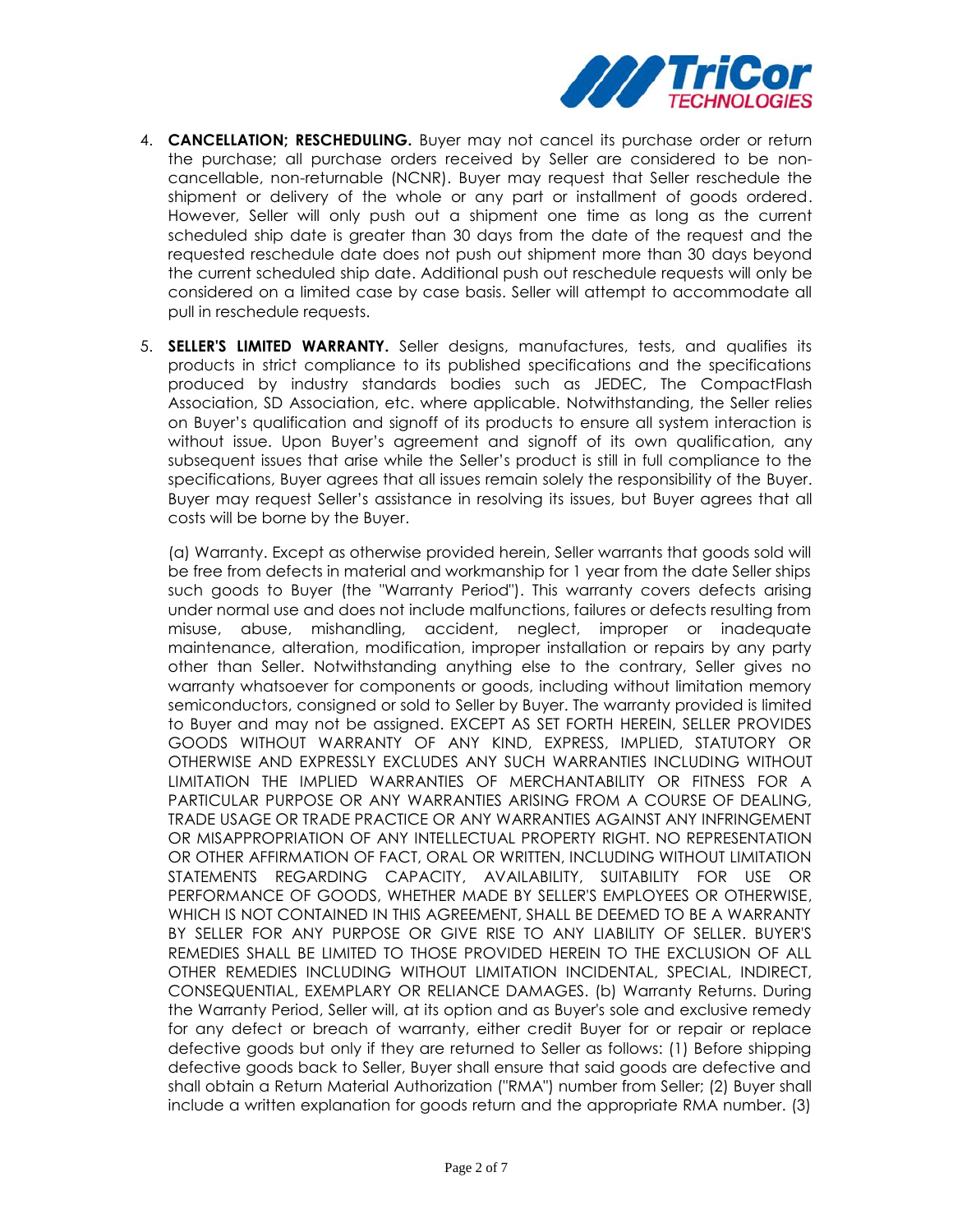

- 4. **CANCELLATION; RESCHEDULING.** Buyer may not cancel its purchase order or return the purchase; all purchase orders received by Seller are considered to be non cancellable, non-returnable (NCNR). Buyer may request that Seller reschedule the shipment or delivery of the whole or any part or installment of goods ordered. However, Seller will only push out a shipment one time as long as the current scheduled ship date is greater than 30 days from the date of the request and the requested reschedule date does not push out shipment more than 30 days beyond the current scheduled ship date. Additional push out reschedule requests will only be considered on a limited case by case basis. Seller will attempt to accommodate all pull in reschedule requests.
- 5. **SELLER'S LIMITED WARRANTY.** Seller designs, manufactures, tests, and qualifies its products in strict compliance to its published specifications and the specifications produced by industry standards bodies such as JEDEC, The CompactFlash Association, SD Association, etc. where applicable. Notwithstanding, the Seller relies on Buyer's qualification and signoff of its products to ensure all system interaction is without issue. Upon Buyer's agreement and signoff of its own qualification, any subsequent issues that arise while the Seller's product is still in full compliance to the specifications, Buyer agrees that all issues remain solely the responsibility of the Buyer. Buyer may request Seller's assistance in resolving its issues, but Buyer agrees that all costs will be borne by the Buyer.

(a) Warranty. Except as otherwise provided herein, Seller warrants that goods sold will be free from defects in material and workmanship for 1 year from the date Seller ships such goods to Buyer (the "Warranty Period"). This warranty covers defects arising under normal use and does not include malfunctions, failures or defects resulting from misuse, abuse, mishandling, accident, neglect, improper or inadequate maintenance, alteration, modification, improper installation or repairs by any party other than Seller. Notwithstanding anything else to the contrary, Seller gives no warranty whatsoever for components or goods, including without limitation memory semiconductors, consigned or sold to Seller by Buyer. The warranty provided is limited to Buyer and may not be assigned. EXCEPT AS SET FORTH HEREIN, SELLER PROVIDES GOODS WITHOUT WARRANTY OF ANY KIND, EXPRESS, IMPLIED, STATUTORY OR OTHERWISE AND EXPRESSLY EXCLUDES ANY SUCH WARRANTIES INCLUDING WITHOUT LIMITATION THE IMPLIED WARRANTIES OF MERCHANTABILITY OR FITNESS FOR A PARTICULAR PURPOSE OR ANY WARRANTIES ARISING FROM A COURSE OF DEALING, TRADE USAGE OR TRADE PRACTICE OR ANY WARRANTIES AGAINST ANY INFRINGEMENT OR MISAPPROPRIATION OF ANY INTELLECTUAL PROPERTY RIGHT. NO REPRESENTATION OR OTHER AFFIRMATION OF FACT, ORAL OR WRITTEN, INCLUDING WITHOUT LIMITATION STATEMENTS REGARDING CAPACITY, AVAILABILITY, SUITABILITY FOR USE OR PERFORMANCE OF GOODS, WHETHER MADE BY SELLER'S EMPLOYEES OR OTHERWISE, WHICH IS NOT CONTAINED IN THIS AGREEMENT, SHALL BE DEEMED TO BE A WARRANTY BY SELLER FOR ANY PURPOSE OR GIVE RISE TO ANY LIABILITY OF SELLER. BUYER'S REMEDIES SHALL BE LIMITED TO THOSE PROVIDED HEREIN TO THE EXCLUSION OF ALL OTHER REMEDIES INCLUDING WITHOUT LIMITATION INCIDENTAL, SPECIAL, INDIRECT, CONSEQUENTIAL, EXEMPLARY OR RELIANCE DAMAGES. (b) Warranty Returns. During the Warranty Period, Seller will, at its option and as Buyer's sole and exclusive remedy for any defect or breach of warranty, either credit Buyer for or repair or replace defective goods but only if they are returned to Seller as follows: (1) Before shipping defective goods back to Seller, Buyer shall ensure that said goods are defective and shall obtain a Return Material Authorization ("RMA") number from Seller; (2) Buyer shall include a written explanation for goods return and the appropriate RMA number. (3)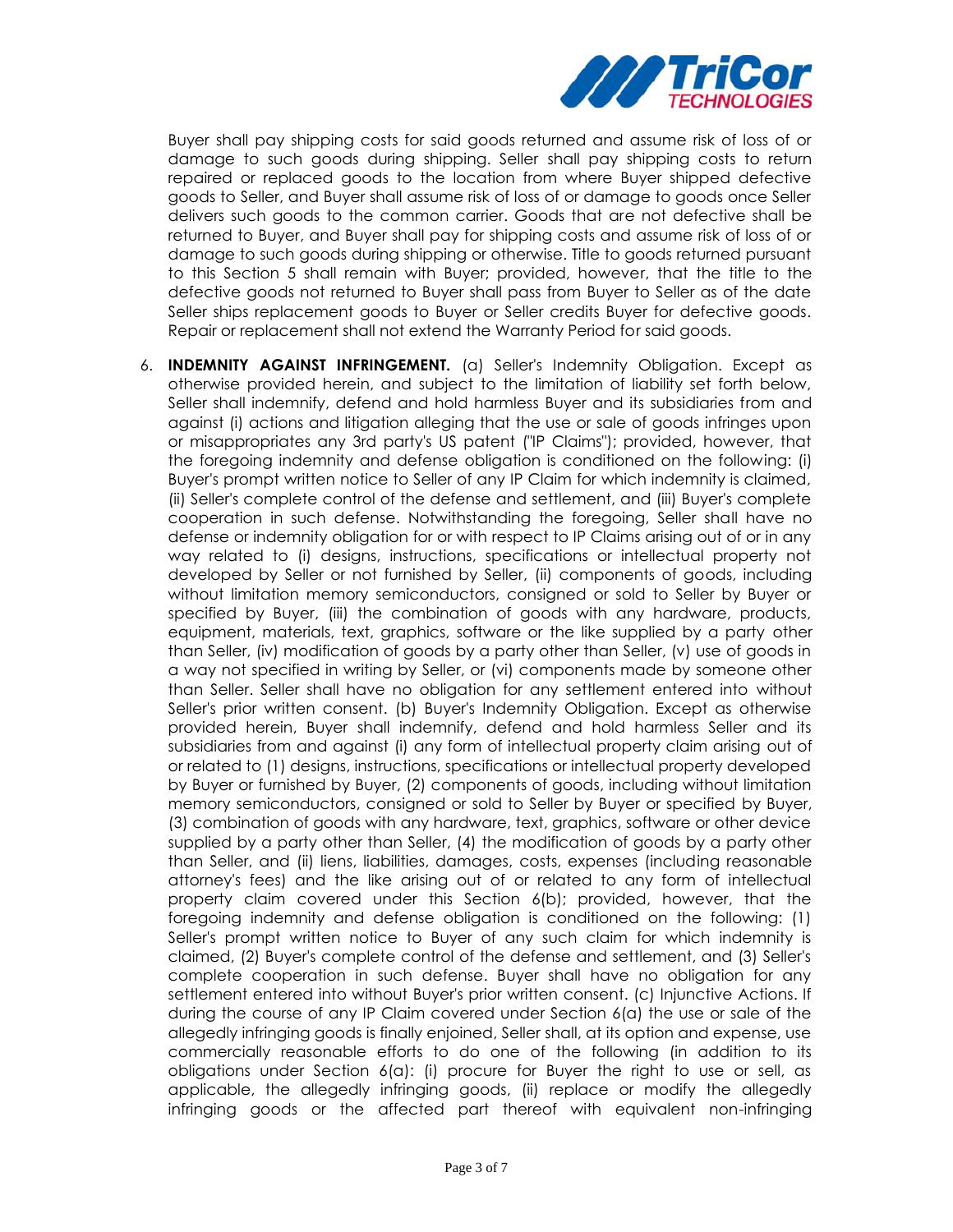

Buyer shall pay shipping costs for said goods returned and assume risk of loss of or damage to such goods during shipping. Seller shall pay shipping costs to return repaired or replaced goods to the location from where Buyer shipped defective goods to Seller, and Buyer shall assume risk of loss of or damage to goods once Seller delivers such goods to the common carrier. Goods that are not defective shall be returned to Buyer, and Buyer shall pay for shipping costs and assume risk of loss of or damage to such goods during shipping or otherwise. Title to goods returned pursuant to this Section 5 shall remain with Buyer; provided, however, that the title to the defective goods not returned to Buyer shall pass from Buyer to Seller as of the date Seller ships replacement goods to Buyer or Seller credits Buyer for defective goods. Repair or replacement shall not extend the Warranty Period for said goods.

6. **INDEMNITY AGAINST INFRINGEMENT.** (a) Seller's Indemnity Obligation. Except as otherwise provided herein, and subject to the limitation of liability set forth below, Seller shall indemnify, defend and hold harmless Buyer and its subsidiaries from and against (i) actions and litigation alleging that the use or sale of goods infringes upon or misappropriates any 3rd party's US patent ("IP Claims"); provided, however, that the foregoing indemnity and defense obligation is conditioned on the following: (i) Buyer's prompt written notice to Seller of any IP Claim for which indemnity is claimed, (ii) Seller's complete control of the defense and settlement, and (iii) Buyer's complete cooperation in such defense. Notwithstanding the foregoing, Seller shall have no defense or indemnity obligation for or with respect to IP Claims arising out of or in any way related to (i) designs, instructions, specifications or intellectual property not developed by Seller or not furnished by Seller, (ii) components of goods, including without limitation memory semiconductors, consigned or sold to Seller by Buyer or specified by Buyer, (iii) the combination of goods with any hardware, products, equipment, materials, text, graphics, software or the like supplied by a party other than Seller, (iv) modification of goods by a party other than Seller, (v) use of goods in a way not specified in writing by Seller, or (vi) components made by someone other than Seller. Seller shall have no obligation for any settlement entered into without Seller's prior written consent. (b) Buyer's Indemnity Obligation. Except as otherwise provided herein, Buyer shall indemnify, defend and hold harmless Seller and its subsidiaries from and against (i) any form of intellectual property claim arising out of or related to (1) designs, instructions, specifications or intellectual property developed by Buyer or furnished by Buyer, (2) components of goods, including without limitation memory semiconductors, consigned or sold to Seller by Buyer or specified by Buyer, (3) combination of goods with any hardware, text, graphics, software or other device supplied by a party other than Seller, (4) the modification of goods by a party other than Seller, and (ii) liens, liabilities, damages, costs, expenses (including reasonable attorney's fees) and the like arising out of or related to any form of intellectual property claim covered under this Section 6(b); provided, however, that the foregoing indemnity and defense obligation is conditioned on the following: (1) Seller's prompt written notice to Buyer of any such claim for which indemnity is claimed, (2) Buyer's complete control of the defense and settlement, and (3) Seller's complete cooperation in such defense. Buyer shall have no obligation for any settlement entered into without Buyer's prior written consent. (c) Injunctive Actions. If during the course of any IP Claim covered under Section 6(a) the use or sale of the allegedly infringing goods is finally enjoined, Seller shall, at its option and expense, use commercially reasonable efforts to do one of the following (in addition to its obligations under Section 6(a): (i) procure for Buyer the right to use or sell, as applicable, the allegedly infringing goods, (ii) replace or modify the allegedly infringing goods or the affected part thereof with equivalent non-infringing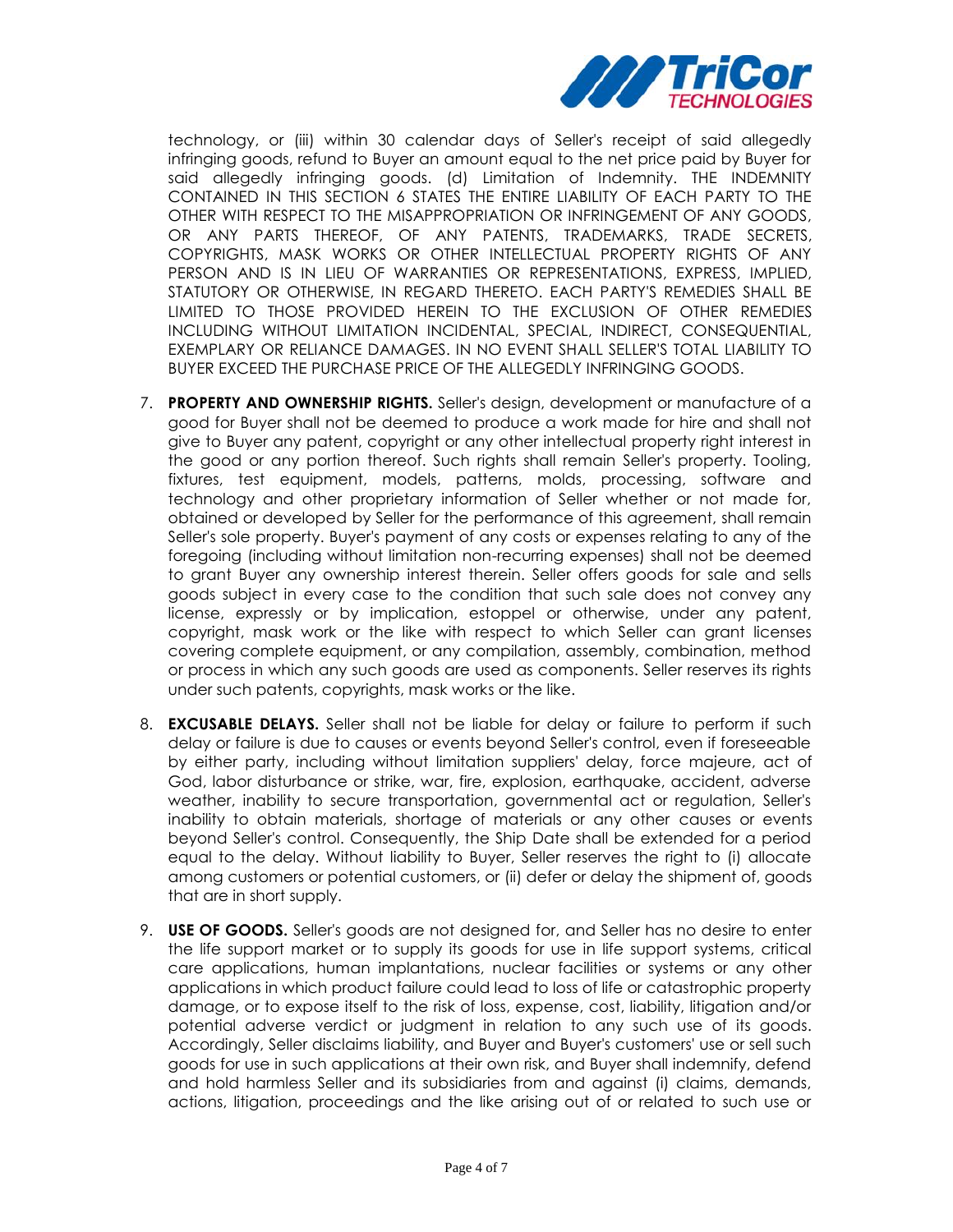

technology, or (iii) within 30 calendar days of Seller's receipt of said allegedly infringing goods, refund to Buyer an amount equal to the net price paid by Buyer for said allegedly infringing goods. (d) Limitation of Indemnity. THE INDEMNITY CONTAINED IN THIS SECTION 6 STATES THE ENTIRE LIABILITY OF EACH PARTY TO THE OTHER WITH RESPECT TO THE MISAPPROPRIATION OR INFRINGEMENT OF ANY GOODS, OR ANY PARTS THEREOF, OF ANY PATENTS, TRADEMARKS, TRADE SECRETS, COPYRIGHTS, MASK WORKS OR OTHER INTELLECTUAL PROPERTY RIGHTS OF ANY PERSON AND IS IN LIEU OF WARRANTIES OR REPRESENTATIONS, EXPRESS, IMPLIED, STATUTORY OR OTHERWISE, IN REGARD THERETO. EACH PARTY'S REMEDIES SHALL BE LIMITED TO THOSE PROVIDED HEREIN TO THE EXCLUSION OF OTHER REMEDIES INCLUDING WITHOUT LIMITATION INCIDENTAL, SPECIAL, INDIRECT, CONSEQUENTIAL, EXEMPLARY OR RELIANCE DAMAGES. IN NO EVENT SHALL SELLER'S TOTAL LIABILITY TO BUYER EXCEED THE PURCHASE PRICE OF THE ALLEGEDLY INFRINGING GOODS.

- 7. **PROPERTY AND OWNERSHIP RIGHTS.** Seller's design, development or manufacture of a good for Buyer shall not be deemed to produce a work made for hire and shall not give to Buyer any patent, copyright or any other intellectual property right interest in the good or any portion thereof. Such rights shall remain Seller's property. Tooling, fixtures, test equipment, models, patterns, molds, processing, software and technology and other proprietary information of Seller whether or not made for, obtained or developed by Seller for the performance of this agreement, shall remain Seller's sole property. Buyer's payment of any costs or expenses relating to any of the foregoing (including without limitation non-recurring expenses) shall not be deemed to grant Buyer any ownership interest therein. Seller offers goods for sale and sells goods subject in every case to the condition that such sale does not convey any license, expressly or by implication, estoppel or otherwise, under any patent, copyright, mask work or the like with respect to which Seller can grant licenses covering complete equipment, or any compilation, assembly, combination, method or process in which any such goods are used as components. Seller reserves its rights under such patents, copyrights, mask works or the like.
- 8. **EXCUSABLE DELAYS.** Seller shall not be liable for delay or failure to perform if such delay or failure is due to causes or events beyond Seller's control, even if foreseeable by either party, including without limitation suppliers' delay, force majeure, act of God, labor disturbance or strike, war, fire, explosion, earthquake, accident, adverse weather, inability to secure transportation, governmental act or regulation, Seller's inability to obtain materials, shortage of materials or any other causes or events beyond Seller's control. Consequently, the Ship Date shall be extended for a period equal to the delay. Without liability to Buyer, Seller reserves the right to (i) allocate among customers or potential customers, or (ii) defer or delay the shipment of, goods that are in short supply.
- 9. **USE OF GOODS.** Seller's goods are not designed for, and Seller has no desire to enter the life support market or to supply its goods for use in life support systems, critical care applications, human implantations, nuclear facilities or systems or any other applications in which product failure could lead to loss of life or catastrophic property damage, or to expose itself to the risk of loss, expense, cost, liability, litigation and/or potential adverse verdict or judgment in relation to any such use of its goods. Accordingly, Seller disclaims liability, and Buyer and Buyer's customers' use or sell such goods for use in such applications at their own risk, and Buyer shall indemnify, defend and hold harmless Seller and its subsidiaries from and against (i) claims, demands, actions, litigation, proceedings and the like arising out of or related to such use or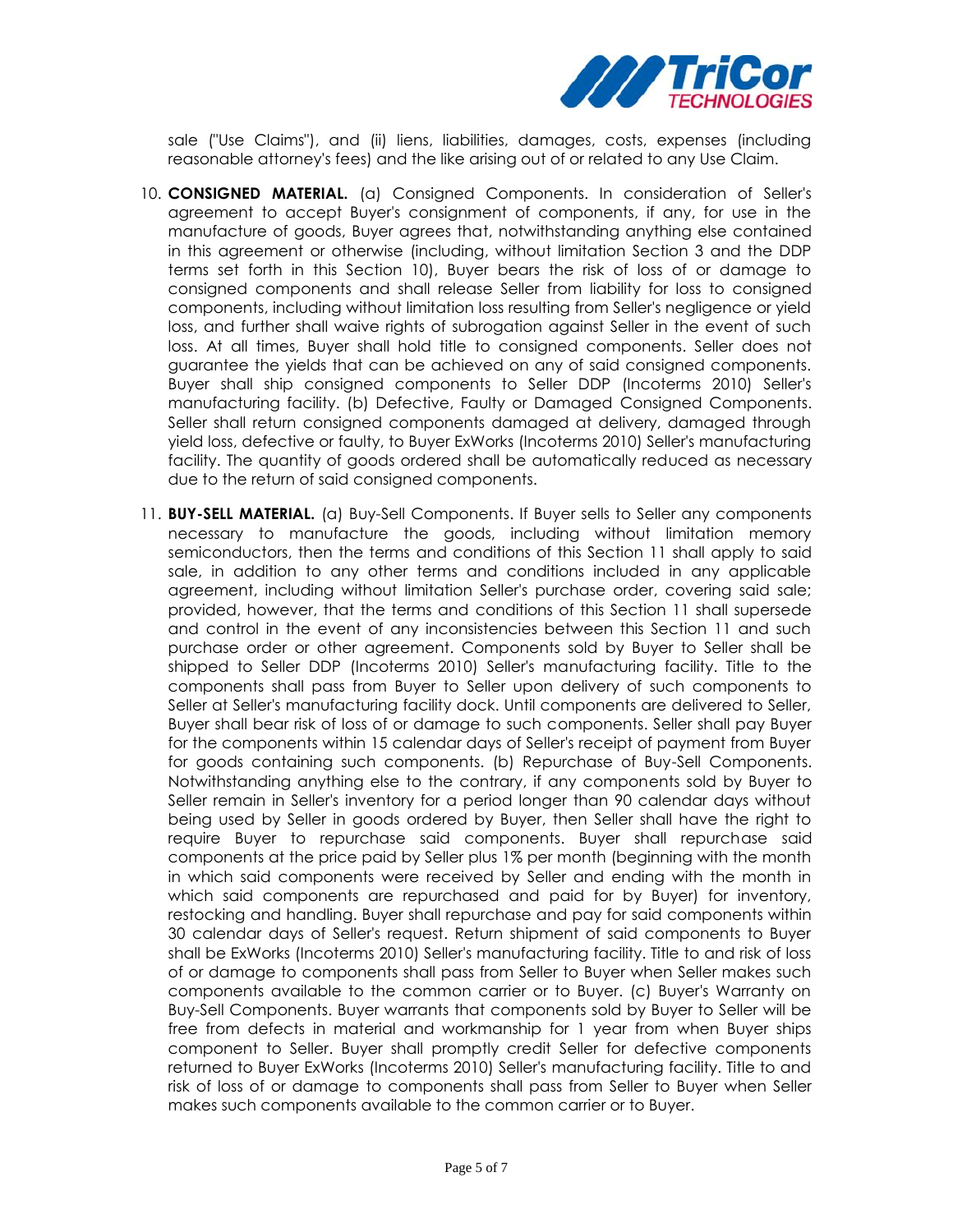

sale ("Use Claims"), and (ii) liens, liabilities, damages, costs, expenses (including reasonable attorney's fees) and the like arising out of or related to any Use Claim.

- 10. **CONSIGNED MATERIAL.** (a) Consigned Components. In consideration of Seller's agreement to accept Buyer's consignment of components, if any, for use in the manufacture of goods, Buyer agrees that, notwithstanding anything else contained in this agreement or otherwise (including, without limitation Section 3 and the DDP terms set forth in this Section 10), Buyer bears the risk of loss of or damage to consigned components and shall release Seller from liability for loss to consigned components, including without limitation loss resulting from Seller's negligence or yield loss, and further shall waive rights of subrogation against Seller in the event of such loss. At all times, Buyer shall hold title to consigned components. Seller does not guarantee the yields that can be achieved on any of said consigned components. Buyer shall ship consigned components to Seller DDP (Incoterms 2010) Seller's manufacturing facility. (b) Defective, Faulty or Damaged Consigned Components. Seller shall return consigned components damaged at delivery, damaged through yield loss, defective or faulty, to Buyer ExWorks (Incoterms 2010) Seller's manufacturing facility. The quantity of goods ordered shall be automatically reduced as necessary due to the return of said consigned components.
- 11. **BUY-SELL MATERIAL.** (a) Buy-Sell Components. If Buyer sells to Seller any components necessary to manufacture the goods, including without limitation memory semiconductors, then the terms and conditions of this Section 11 shall apply to said sale, in addition to any other terms and conditions included in any applicable agreement, including without limitation Seller's purchase order, covering said sale; provided, however, that the terms and conditions of this Section 11 shall supersede and control in the event of any inconsistencies between this Section 11 and such purchase order or other agreement. Components sold by Buyer to Seller shall be shipped to Seller DDP (Incoterms 2010) Seller's manufacturing facility. Title to the components shall pass from Buyer to Seller upon delivery of such components to Seller at Seller's manufacturing facility dock. Until components are delivered to Seller, Buyer shall bear risk of loss of or damage to such components. Seller shall pay Buyer for the components within 15 calendar days of Seller's receipt of payment from Buyer for goods containing such components. (b) Repurchase of Buy-Sell Components. Notwithstanding anything else to the contrary, if any components sold by Buyer to Seller remain in Seller's inventory for a period longer than 90 calendar days without being used by Seller in goods ordered by Buyer, then Seller shall have the right to require Buyer to repurchase said components. Buyer shall repurchase said components at the price paid by Seller plus 1% per month (beginning with the month in which said components were received by Seller and ending with the month in which said components are repurchased and paid for by Buyer) for inventory, restocking and handling. Buyer shall repurchase and pay for said components within 30 calendar days of Seller's request. Return shipment of said components to Buyer shall be ExWorks (Incoterms 2010) Seller's manufacturing facility. Title to and risk of loss of or damage to components shall pass from Seller to Buyer when Seller makes such components available to the common carrier or to Buyer. (c) Buyer's Warranty on Buy-Sell Components. Buyer warrants that components sold by Buyer to Seller will be free from defects in material and workmanship for 1 year from when Buyer ships component to Seller. Buyer shall promptly credit Seller for defective components returned to Buyer ExWorks (Incoterms 2010) Seller's manufacturing facility. Title to and risk of loss of or damage to components shall pass from Seller to Buyer when Seller makes such components available to the common carrier or to Buyer.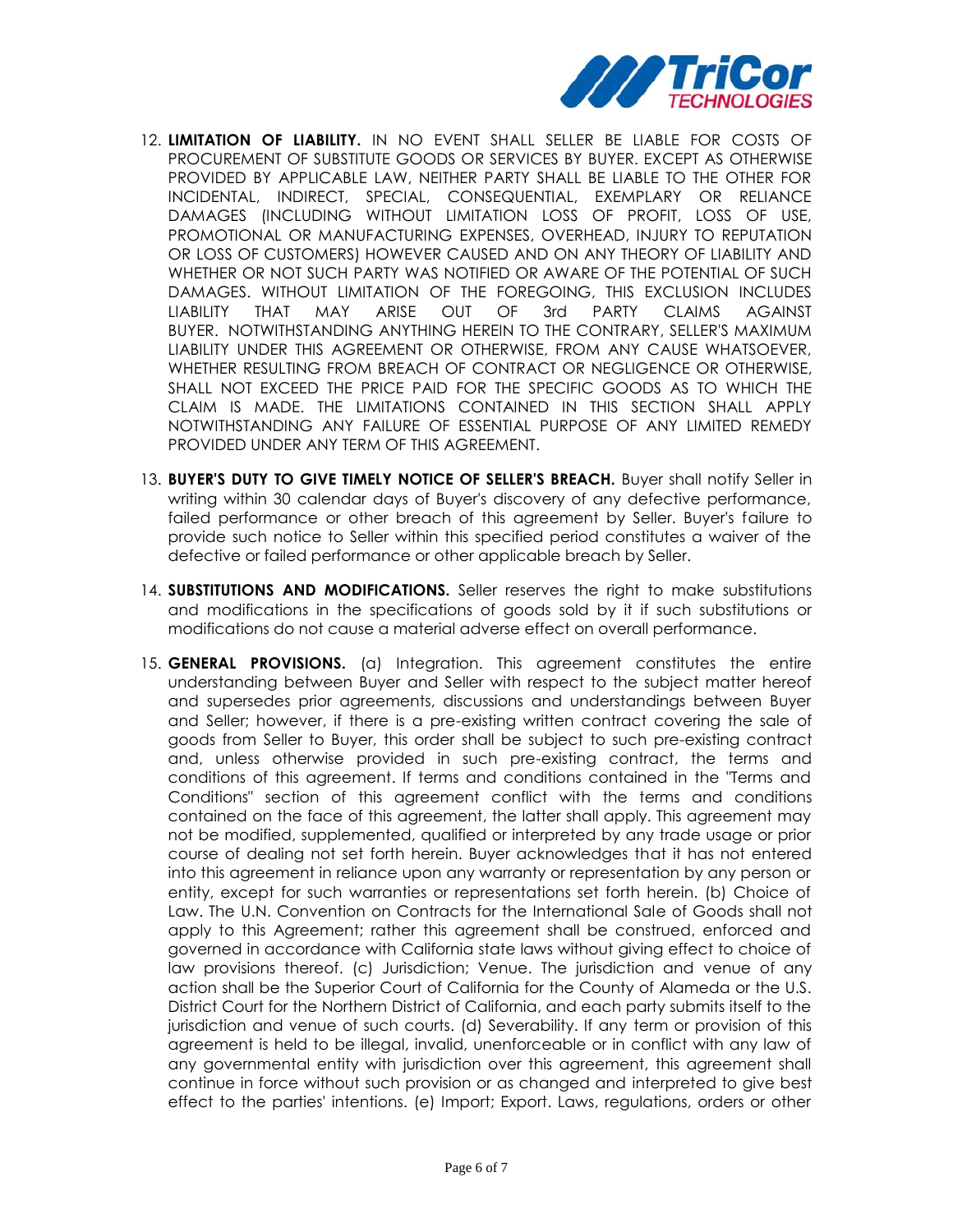

- 12. **LIMITATION OF LIABILITY.** IN NO EVENT SHALL SELLER BE LIABLE FOR COSTS OF PROCUREMENT OF SUBSTITUTE GOODS OR SERVICES BY BUYER. EXCEPT AS OTHERWISE PROVIDED BY APPLICABLE LAW, NEITHER PARTY SHALL BE LIABLE TO THE OTHER FOR INCIDENTAL, INDIRECT, SPECIAL, CONSEQUENTIAL, EXEMPLARY OR RELIANCE DAMAGES (INCLUDING WITHOUT LIMITATION LOSS OF PROFIT, LOSS OF USE, PROMOTIONAL OR MANUFACTURING EXPENSES, OVERHEAD, INJURY TO REPUTATION OR LOSS OF CUSTOMERS) HOWEVER CAUSED AND ON ANY THEORY OF LIABILITY AND WHETHER OR NOT SUCH PARTY WAS NOTIFIED OR AWARE OF THE POTENTIAL OF SUCH DAMAGES. WITHOUT LIMITATION OF THE FOREGOING, THIS EXCLUSION INCLUDES LIABILITY THAT MAY ARISE OUT OF 3rd PARTY CLAIMS AGAINST BUYER. NOTWITHSTANDING ANYTHING HEREIN TO THE CONTRARY, SELLER'S MAXIMUM LIABILITY UNDER THIS AGREEMENT OR OTHERWISE, FROM ANY CAUSE WHATSOEVER, WHETHER RESULTING FROM BREACH OF CONTRACT OR NEGLIGENCE OR OTHERWISE, SHALL NOT EXCEED THE PRICE PAID FOR THE SPECIFIC GOODS AS TO WHICH THE CLAIM IS MADE. THE LIMITATIONS CONTAINED IN THIS SECTION SHALL APPLY NOTWITHSTANDING ANY FAILURE OF ESSENTIAL PURPOSE OF ANY LIMITED REMEDY PROVIDED UNDER ANY TERM OF THIS AGREEMENT.
- 13. **BUYER'S DUTY TO GIVE TIMELY NOTICE OF SELLER'S BREACH.** Buyer shall notify Seller in writing within 30 calendar days of Buyer's discovery of any defective performance, failed performance or other breach of this agreement by Seller. Buyer's failure to provide such notice to Seller within this specified period constitutes a waiver of the defective or failed performance or other applicable breach by Seller.
- 14. **SUBSTITUTIONS AND MODIFICATIONS.** Seller reserves the right to make substitutions and modifications in the specifications of goods sold by it if such substitutions or modifications do not cause a material adverse effect on overall performance.
- 15. **GENERAL PROVISIONS.** (a) Integration. This agreement constitutes the entire understanding between Buyer and Seller with respect to the subject matter hereof and supersedes prior agreements, discussions and understandings between Buyer and Seller; however, if there is a pre-existing written contract covering the sale of goods from Seller to Buyer, this order shall be subject to such pre-existing contract and, unless otherwise provided in such pre-existing contract, the terms and conditions of this agreement. If terms and conditions contained in the "Terms and Conditions" section of this agreement conflict with the terms and conditions contained on the face of this agreement, the latter shall apply. This agreement may not be modified, supplemented, qualified or interpreted by any trade usage or prior course of dealing not set forth herein. Buyer acknowledges that it has not entered into this agreement in reliance upon any warranty or representation by any person or entity, except for such warranties or representations set forth herein. (b) Choice of Law. The U.N. Convention on Contracts for the International Sale of Goods shall not apply to this Agreement; rather this agreement shall be construed, enforced and governed in accordance with California state laws without giving effect to choice of law provisions thereof. (c) Jurisdiction; Venue. The jurisdiction and venue of any action shall be the Superior Court of California for the County of Alameda or the U.S. District Court for the Northern District of California, and each party submits itself to the jurisdiction and venue of such courts. (d) Severability. If any term or provision of this agreement is held to be illegal, invalid, unenforceable or in conflict with any law of any governmental entity with jurisdiction over this agreement, this agreement shall continue in force without such provision or as changed and interpreted to give best effect to the parties' intentions. (e) Import; Export. Laws, regulations, orders or other